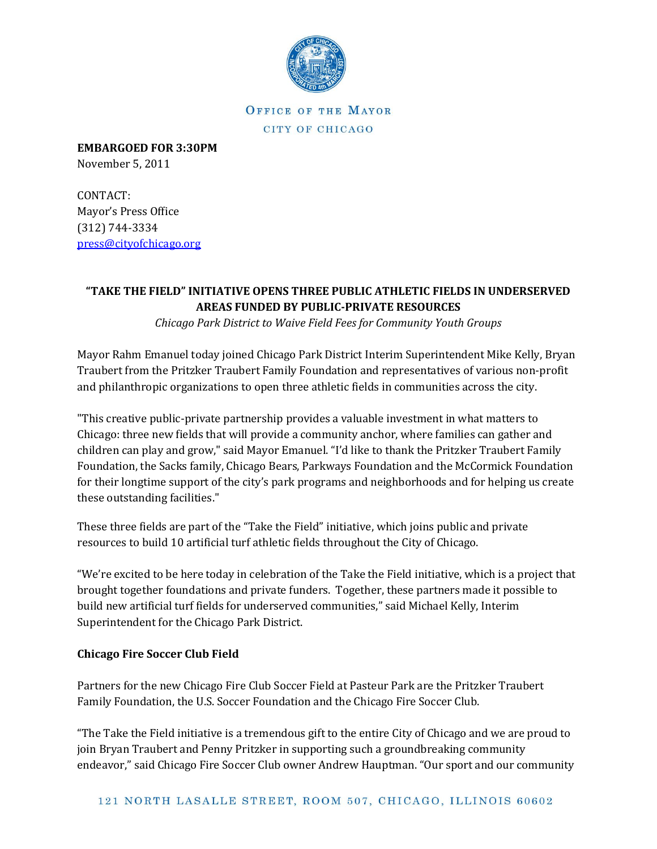

OFFICE OF THE MAYOR CITY OF CHICAGO

**EMBARGOED FOR 3:30PM** November 5, 2011

CONTACT: Mayor's Press Office (312) 744-3334

[press@cityofchicago.org](https://connect.cityofchicago.org/owa/,DanaInfo=basicauth.cityofchicago.local,SSL+redir.aspx?C=d118d6fa8033478a944c73bdeeec7a6a&URL=mailto%3apress%40cityofchicago.org)

## **"TAKE THE FIELD" INITIATIVE OPENS THREE PUBLIC ATHLETIC FIELDS IN UNDERSERVED AREAS FUNDED BY PUBLIC-PRIVATE RESOURCES**

*Chicago Park District to Waive Field Fees for Community Youth Groups*

Mayor Rahm Emanuel today joined Chicago Park District Interim Superintendent Mike Kelly, Bryan Traubert from the Pritzker Traubert Family Foundation and representatives of various non-profit and philanthropic organizations to open three athletic fields in communities across the city.

"This creative public-private partnership provides a valuable investment in what matters to Chicago: three new fields that will provide a community anchor, where families can gather and children can play and grow," said Mayor Emanuel. "I'd like to thank the Pritzker Traubert Family Foundation, the Sacks family, Chicago Bears, Parkways Foundation and the McCormick Foundation for their longtime support of the city's park programs and neighborhoods and for helping us create these outstanding facilities."

These three fields are part of the "Take the Field" initiative, which joins public and private resources to build 10 artificial turf athletic fields throughout the City of Chicago.

"We're excited to be here today in celebration of the Take the Field initiative, which is a project that brought together foundations and private funders. Together, these partners made it possible to build new artificial turf fields for underserved communities," said Michael Kelly, Interim Superintendent for the Chicago Park District.

## **Chicago Fire Soccer Club Field**

Partners for the new Chicago Fire Club Soccer Field at Pasteur Park are the Pritzker Traubert Family Foundation, the U.S. Soccer Foundation and the Chicago Fire Soccer Club.

"The Take the Field initiative is a tremendous gift to the entire City of Chicago and we are proud to join Bryan Traubert and Penny Pritzker in supporting such a groundbreaking community endeavor," said Chicago Fire Soccer Club owner Andrew Hauptman. "Our sport and our community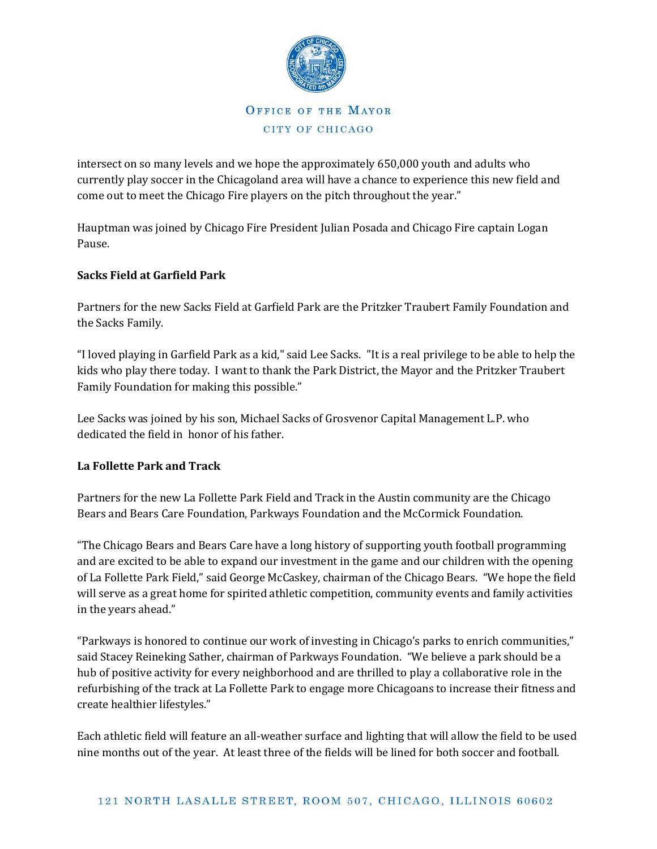

intersect on so many levels and we hope the approximately 650,000 youth and adults who currently play soccer in the Chicagoland area will have a chance to experience this new field and come out to meet the Chicago Fire players on the pitch throughout the year."

Hauptman was joined by Chicago Fire President Julian Posada and Chicago Fire captain Logan Pause.

## **Sacks Field at Garfield Park**

Partners for the new Sacks Field at Garfield Park are the Pritzker Traubert Family Foundation and the Sacks Family.

"I loved playing in Garfield Park as a kid," said Lee Sacks. "It is a real privilege to be able to help the kids who play there today. I want to thank the Park District, the Mayor and the Pritzker Traubert Family Foundation for making this possible."

Lee Sacks was joined by his son, Michael Sacks of Grosvenor Capital Management L.P. who dedicated the field in honor of his father.

## **La Follette Park and Track**

Partners for the new La Follette Park Field and Track in the Austin community are the Chicago Bears and Bears Care Foundation, Parkways Foundation and the McCormick Foundation.

"The Chicago Bears and Bears Care have a long history of supporting youth football programming and are excited to be able to expand our investment in the game and our children with the opening of La Follette Park Field," said George McCaskey, chairman of the Chicago Bears. "We hope the field will serve as a great home for spirited athletic competition, community events and family activities in the years ahead."

"Parkways is honored to continue our work of investing in Chicago's parks to enrich communities," said Stacey Reineking Sather, chairman of Parkways Foundation. "We believe a park should be a hub of positive activity for every neighborhood and are thrilled to play a collaborative role in the refurbishing of the track at La Follette Park to engage more Chicagoans to increase their fitness and create healthier lifestyles."

Each athletic field will feature an all-weather surface and lighting that will allow the field to be used nine months out of the year. At least three of the fields will be lined for both soccer and football.